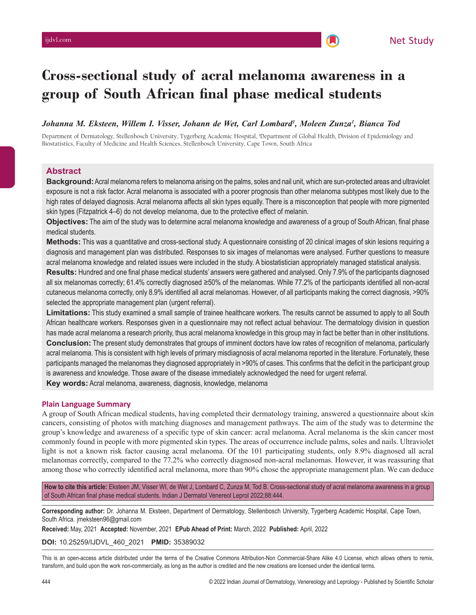# **Cross-sectional study of acral melanoma awareness in a group of South African final phase medical students**

# Johanna M. Eksteen, Willem I. Visser, Johann de Wet, Carl Lombard<sup>i</sup>, Moleen Zunza<sup>i</sup>, Bianca Tod

Department of Dermatology, Stellenbosch University, Tygerberg Academic Hospital, 1 Department of Global Health, Division of Epidemiology and Biostatistics, Faculty of Medicine and Health Sciences, Stellenbosch University, Cape Town, South Africa

# **Abstract**

**Background:** Acral melanoma refers to melanoma arising on the palms, soles and nail unit, which are sun-protected areas and ultraviolet exposure is not a risk factor. Acral melanoma is associated with a poorer prognosis than other melanoma subtypes most likely due to the high rates of delayed diagnosis. Acral melanoma affects all skin types equally. There is a misconception that people with more pigmented skin types (Fitzpatrick 4–6) do not develop melanoma, due to the protective effect of melanin.

**Objectives:** The aim of the study was to determine acral melanoma knowledge and awareness of a group of South African, final phase medical students.

**Methods:** This was a quantitative and cross-sectional study. A questionnaire consisting of 20 clinical images of skin lesions requiring a diagnosis and management plan was distributed. Responses to six images of melanomas were analysed. Further questions to measure acral melanoma knowledge and related issues were included in the study. A biostatistician appropriately managed statistical analysis.

**Results:** Hundred and one final phase medical students' answers were gathered and analysed. Only 7.9% of the participants diagnosed all six melanomas correctly; 61.4% correctly diagnosed ≥50% of the melanomas. While 77.2% of the participants identified all non-acral cutaneous melanoma correctly, only 8.9% identified all acral melanomas. However, of all participants making the correct diagnosis, >90% selected the appropriate management plan (urgent referral).

**Limitations:** This study examined a small sample of trainee healthcare workers. The results cannot be assumed to apply to all South African healthcare workers. Responses given in a questionnaire may not reflect actual behaviour. The dermatology division in question has made acral melanoma a research priority, thus acral melanoma knowledge in this group may in fact be better than in other institutions. **Conclusion:** The present study demonstrates that groups of imminent doctors have low rates of recognition of melanoma, particularly acral melanoma. This is consistent with high levels of primary misdiagnosis of acral melanoma reported in the literature. Fortunately, these participants managed the melanomas they diagnosed appropriately in >90% of cases. This confirms that the deficit in the participant group is awareness and knowledge. Those aware of the disease immediately acknowledged the need for urgent referral.

**Key words:** Acral melanoma, awareness, diagnosis, knowledge, melanoma

## **Plain Language Summary**

A group of South African medical students, having completed their dermatology training, answered a questionnaire about skin cancers, consisting of photos with matching diagnoses and management pathways. The aim of the study was to determine the group's knowledge and awareness of a specific type of skin cancer: acral melanoma. Acral melanoma is the skin cancer most commonly found in people with more pigmented skin types. The areas of occurrence include palms, soles and nails. Ultraviolet light is not a known risk factor causing acral melanoma. Of the 101 participating students, only 8.9% diagnosed all acral melanomas correctly, compared to the 77.2% who correctly diagnosed non-acral melanomas. However, it was reassuring that among those who correctly identified acral melanoma, more than 90% chose the appropriate management plan. We can deduce

**How to cite this article:** Eksteen JM, Visser WI, de Wet J, Lombard C, Zunza M, Tod B. Cross-sectional study of acral melanoma awareness in a group of South African final phase medical students. Indian J Dermatol Venereol Leprol 2022;88:444.

**Corresponding author:** Dr. Johanna M. Eksteen, Department of Dermatology, Stellenbosch University, Tygerberg Academic Hospital, Cape Town, South Africa. jmeksteen96@gmail.com

**Received:** May, 2021 **Accepted:** November, 2021 **EPub Ahead of Print:** March, 2022 **Published:** April, 2022

**DOI:** 10.25259/IJDVL\_460\_2021 **PMID:** 35389032

This is an open-access article distributed under the terms of the Creative Commons Attribution-Non Commercial-Share Alike 4.0 License, which allows others to remix, transform, and build upon the work non-commercially, as long as the author is credited and the new creations are licensed under the identical terms.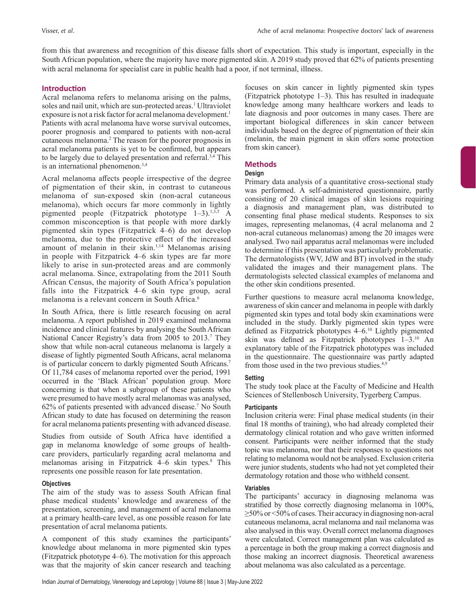from this that awareness and recognition of this disease falls short of expectation. This study is important, especially in the South African population, where the majority have more pigmented skin. A 2019 study proved that 62% of patients presenting with acral melanoma for specialist care in public health had a poor, if not terminal, illness.

## **Introduction**

Acral melanoma refers to melanoma arising on the palms, soles and nail unit, which are sun-protected areas.<sup>1</sup> Ultraviolet exposure is not a risk factor for acral melanoma development.<sup>1</sup> Patients with acral melanoma have worse survival outcomes, poorer prognosis and compared to patients with non-acral cutaneous melanoma.2 The reason for the poorer prognosis in acral melanoma patients is yet to be confirmed, but appears to be largely due to delayed presentation and referral.3,4 This is an international phenomenon.3,4

Acral melanoma affects people irrespective of the degree of pigmentation of their skin, in contrast to cutaneous melanoma of sun-exposed skin (non-acral cutaneous melanoma), which occurs far more commonly in lightly pigmented people (Fitzpatrick phototype  $1-3$ ).<sup>1,3,5</sup> A common misconception is that people with more darkly pigmented skin types (Fitzpatrick 4–6) do not develop melanoma, due to the protective effect of the increased amount of melanin in their skin.<sup>1,14</sup> Melanomas arising in people with Fitzpatrick 4–6 skin types are far more likely to arise in sun-protected areas and are commonly acral melanoma. Since, extrapolating from the 2011 South African Census, the majority of South Africa's population falls into the Fitzpatrick 4–6 skin type group, acral melanoma is a relevant concern in South Africa.<sup>6</sup>

In South Africa, there is little research focusing on acral melanoma. A report published in 2019 examined melanoma incidence and clinical features by analysing the South African National Cancer Registry's data from 2005 to 2013.<sup>7</sup> They show that while non-acral cutaneous melanoma is largely a disease of lightly pigmented South Africans, acral melanoma is of particular concern to darkly pigmented South Africans.<sup>7</sup> Of 11,784 cases of melanoma reported over the period, 1991 occurred in the 'Black African' population group. More concerning is that when a subgroup of these patients who were presumed to have mostly acral melanomas was analysed, 62% of patients presented with advanced disease.7 No South African study to date has focused on determining the reason for acral melanoma patients presenting with advanced disease.

Studies from outside of South Africa have identified a gap in melanoma knowledge of some groups of healthcare providers, particularly regarding acral melanoma and melanomas arising in Fitzpatrick 4–6 skin types.<sup>8</sup> This represents one possible reason for late presentation.

#### **Objectives**

The aim of the study was to assess South African final phase medical students' knowledge and awareness of the presentation, screening, and management of acral melanoma at a primary health-care level, as one possible reason for late presentation of acral melanoma patients.

A component of this study examines the participants' knowledge about melanoma in more pigmented skin types (Fitzpatrick phototype 4–6). The motivation for this approach was that the majority of skin cancer research and teaching focuses on skin cancer in lightly pigmented skin types (Fitzpatrick phototype 1–3). This has resulted in inadequate knowledge among many healthcare workers and leads to late diagnosis and poor outcomes in many cases. There are important biological differences in skin cancer between individuals based on the degree of pigmentation of their skin (melanin, the main pigment in skin offers some protection from skin cancer).

# **Methods**

## **Design**

Primary data analysis of a quantitative cross-sectional study was performed. A self-administered questionnaire, partly consisting of 20 clinical images of skin lesions requiring a diagnosis and management plan, was distributed to consenting final phase medical students. Responses to six images, representing melanomas, (4 acral melanoma and 2 non-acral cutaneous melanomas) among the 20 images were analysed. Two nail apparatus acral melanomas were included to determine if this presentation was particularly problematic. The dermatologists (WV, JdW and BT) involved in the study validated the images and their management plans. The dermatologists selected classical examples of melanoma and the other skin conditions presented.

Further questions to measure acral melanoma knowledge, awareness of skin cancer and melanoma in people with darkly pigmented skin types and total body skin examinations were included in the study. Darkly pigmented skin types were defined as Fitzpatrick phototypes 4–6.10 Lightly pigmented skin was defined as Fitzpatrick phototypes 1–3.10 An explanatory table of the Fitzpatrick phototypes was included in the questionnaire. The questionnaire was partly adapted from those used in the two previous studies. $8,9$ 

## **Setting**

The study took place at the Faculty of Medicine and Health Sciences of Stellenbosch University, Tygerberg Campus.

## **Participants**

Inclusion criteria were: Final phase medical students (in their final 18 months of training), who had already completed their dermatology clinical rotation and who gave written informed consent. Participants were neither informed that the study topic was melanoma, nor that their responses to questions not relating to melanoma would not be analysed. Exclusion criteria were junior students, students who had not yet completed their dermatology rotation and those who withheld consent.

## **Variables**

The participants' accuracy in diagnosing melanoma was stratified by those correctly diagnosing melanoma in 100%, ≥50% or <50% of cases. Their accuracy in diagnosing non-acral cutaneous melanoma, acral melanoma and nail melanoma was also analysed in this way. Overall correct melanoma diagnoses were calculated. Correct management plan was calculated as a percentage in both the group making a correct diagnosis and those making an incorrect diagnosis. Theoretical awareness about melanoma was also calculated as a percentage.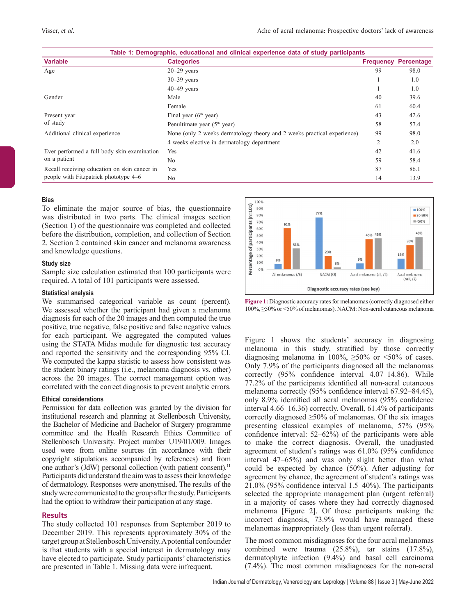| Table 1: Demographic, educational and clinical experience data of study participants  |                                                                         |                |                             |
|---------------------------------------------------------------------------------------|-------------------------------------------------------------------------|----------------|-----------------------------|
| <b>Variable</b>                                                                       | <b>Categories</b>                                                       |                | <b>Frequency Percentage</b> |
| Age                                                                                   | $20 - 29$ years                                                         | 99             | 98.0                        |
|                                                                                       | $30-39$ years                                                           |                | 1.0                         |
|                                                                                       | $40-49$ years                                                           |                | 1.0                         |
| Gender                                                                                | Male                                                                    | 40             | 39.6                        |
|                                                                                       | Female                                                                  | 61             | 60.4                        |
| Present year                                                                          | Final year $(6th$ year)                                                 | 43             | 42.6                        |
| of study                                                                              | Penultimate year $(5th$ year)                                           | 58             | 57.4                        |
| Additional clinical experience                                                        | None (only 2 weeks dermatology theory and 2 weeks practical experience) | 99             | 98.0                        |
|                                                                                       | 4 weeks elective in dermatology department                              | $\overline{2}$ | 2.0                         |
| Ever performed a full body skin examination<br>on a patient                           | Yes                                                                     | 42             | 41.6                        |
|                                                                                       | No                                                                      | 59             | 58.4                        |
| Recall receiving education on skin cancer in<br>people with Fitzpatrick phototype 4–6 | Yes                                                                     | 87             | 86.1                        |
|                                                                                       | N <sub>o</sub>                                                          | 14             | 13.9                        |

#### **Bias**

To eliminate the major source of bias, the questionnaire was distributed in two parts. The clinical images section (Section 1) of the questionnaire was completed and collected before the distribution, completion, and collection of Section 2. Section 2 contained skin cancer and melanoma awareness and knowledge questions.

#### **Study size**

Sample size calculation estimated that 100 participants were required. A total of 101 participants were assessed.

#### **Statistical analysis**

We summarised categorical variable as count (percent). We assessed whether the participant had given a melanoma diagnosis for each of the 20 images and then computed the true positive, true negative, false positive and false negative values for each participant. We aggregated the computed values using the STATA Midas module for diagnostic test accuracy and reported the sensitivity and the corresponding 95% CI. We computed the kappa statistic to assess how consistent was the student binary ratings (i.e., melanoma diagnosis vs. other) across the 20 images. The correct management option was correlated with the correct diagnosis to prevent analytic errors.

#### **Ethical considerations**

Permission for data collection was granted by the division for institutional research and planning at Stellenbosch University, the Bachelor of Medicine and Bachelor of Surgery programme committee and the Health Research Ethics Committee of Stellenbosch University. Project number U19/01/009. Images used were from online sources (in accordance with their copyright stipulations accompanied by references) and from one author's (JdW) personal collection (with patient consent).<sup>11</sup> Participants did understand the aim was to assess their knowledge of dermatology. Responses were anonymised. The results of the study were communicated to the group after the study. Participants had the option to withdraw their participation at any stage.

#### **Results**

The study collected 101 responses from September 2019 to December 2019. This represents approximately 30% of the target group at Stellenbosch University. Apotential confounder is that students with a special interest in dermatology may have elected to participate. Study participants' characteristics are presented in Table 1. Missing data were infrequent.



**Figure 1:** Diagnostic accuracy rates for melanomas (correctly diagnosed either 100%, ≥50% or <50% of melanomas). NACM: Non-acral cutaneous melanoma

Figure 1 shows the students' accuracy in diagnosing melanoma in this study, stratified by those correctly diagnosing melanoma in 100%,  $\geq 50\%$  or <50% of cases. Only 7.9% of the participants diagnosed all the melanomas correctly (95% confidence interval 4.07–14.86). While 77.2% of the participants identified all non-acral cutaneous melanoma correctly (95% confidence interval 67.92–84.45), only 8.9% identified all acral melanomas (95% confidence interval 4.66–16.36) correctly. Overall, 61.4% of participants correctly diagnosed  $\geq 50\%$  of melanomas. Of the six images presenting classical examples of melanoma, 57% (95% confidence interval: 52–62%) of the participants were able to make the correct diagnosis. Overall, the unadjusted agreement of student's ratings was 61.0% (95% confidence interval 47–65%) and was only slight better than what could be expected by chance (50%). After adjusting for agreement by chance, the agreement of student's ratings was 21.0% (95% confidence interval 1.5–40%). The participants selected the appropriate management plan (urgent referral) in a majority of cases where they had correctly diagnosed melanoma [Figure 2]. Of those participants making the incorrect diagnosis, 73.9% would have managed these melanomas inappropriately (less than urgent referral).

The most common misdiagnoses for the four acral melanomas combined were trauma (25.8%), tar stains (17.8%), dermatophyte infection (9.4%) and basal cell carcinoma (7.4%). The most common misdiagnoses for the non-acral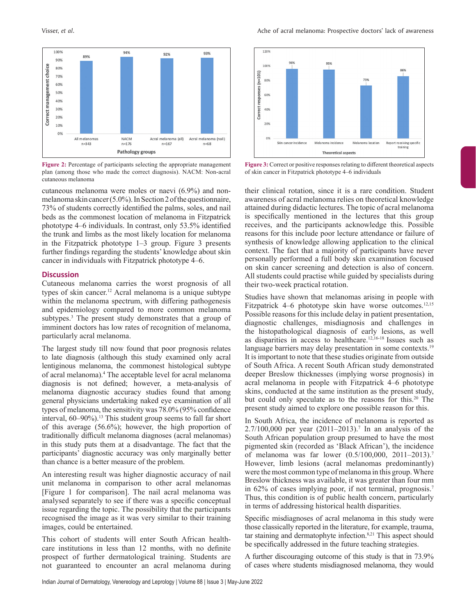

**Figure 2:** Percentage of participants selecting the appropriate management plan (among those who made the correct diagnosis). NACM: Non-acral cutaneous melanoma

cutaneous melanoma were moles or naevi (6.9%) and nonmelanoma skin cancer (5.0%). In Section 2 of the questionnaire, 73% of students correctly identified the palms, soles, and nail beds as the commonest location of melanoma in Fitzpatrick phototype 4–6 individuals. In contrast, only 53.5% identified the trunk and limbs as the most likely location for melanoma in the Fitzpatrick phototype 1–3 group. Figure 3 presents further findings regarding the students' knowledge about skin cancer in individuals with Fitzpatrick phototype 4–6.

#### **Discussion**

Cutaneous melanoma carries the worst prognosis of all types of skin cancer.12 Acral melanoma is a unique subtype within the melanoma spectrum, with differing pathogenesis and epidemiology compared to more common melanoma subtypes.3 The present study demonstrates that a group of imminent doctors has low rates of recognition of melanoma, particularly acral melanoma.

The largest study till now found that poor prognosis relates to late diagnosis (although this study examined only acral lentiginous melanoma, the commonest histological subtype of acral melanoma).4 The acceptable level for acral melanoma diagnosis is not defined; however, a meta-analysis of melanoma diagnostic accuracy studies found that among general physicians undertaking naked eye examination of all types of melanoma, the sensitivity was 78.0% (95% confidence interval, 60–90%).<sup>13</sup> This student group seems to fall far short of this average (56.6%); however, the high proportion of traditionally difficult melanoma diagnoses (acral melanomas) in this study puts them at a disadvantage. The fact that the participants' diagnostic accuracy was only marginally better than chance is a better measure of the problem.

An interesting result was higher diagnostic accuracy of nail unit melanoma in comparison to other acral melanomas [Figure 1 for comparison]. The nail acral melanoma was analysed separately to see if there was a specific conceptual issue regarding the topic. The possibility that the participants recognised the image as it was very similar to their training images, could be entertained.

This cohort of students will enter South African healthcare institutions in less than 12 months, with no definite prospect of further dermatological training. Students are not guaranteed to encounter an acral melanoma during



**Figure 3:** Correct or positive responses relating to different theoretical aspects of skin cancer in Fitzpatrick phototype 4–6 individuals

their clinical rotation, since it is a rare condition. Student awareness of acral melanoma relies on theoretical knowledge attained during didactic lectures. The topic of acral melanoma is specifically mentioned in the lectures that this group receives, and the participants acknowledge this. Possible reasons for this include poor lecture attendance or failure of synthesis of knowledge allowing application to the clinical context. The fact that a majority of participants have never personally performed a full body skin examination focused on skin cancer screening and detection is also of concern. All students could practise while guided by specialists during their two-week practical rotation.

Studies have shown that melanomas arising in people with Fitzpatrick 4–6 phototype skin have worse outcomes.<sup>12,15</sup> Possible reasons for this include delay in patient presentation, diagnostic challenges, misdiagnosis and challenges in the histopathological diagnosis of early lesions, as well as disparities in access to healthcare.12,16-18 Issues such as language barriers may delay presentation in some contexts.<sup>19</sup> It is important to note that these studies originate from outside of South Africa. A recent South African study demonstrated deeper Breslow thicknesses (implying worse prognosis) in acral melanoma in people with Fitzpatrick 4–6 phototype skins, conducted at the same institution as the present study, but could only speculate as to the reasons for this.<sup>20</sup> The present study aimed to explore one possible reason for this.

In South Africa, the incidence of melanoma is reported as 2.7/100,000 per year (2011–2013).7 In an analysis of the South African population group presumed to have the most pigmented skin (recorded as 'Black African'), the incidence of melanoma was far lower (0.5/100,000, 2011–2013).7 However, limb lesions (acral melanomas predominantly) were the most common type of melanoma in this group. Where Breslow thickness was available, it was greater than four mm in 62% of cases implying poor, if not terminal, prognosis.7 Thus, this condition is of public health concern, particularly in terms of addressing historical health disparities.

Specific misdiagnoses of acral melanoma in this study were those classically reported in the literature, for example, trauma, tar staining and dermatophyte infection.<sup>8,21</sup> This aspect should be specifically addressed in the future teaching strategies.

A further discouraging outcome of this study is that in 73.9% of cases where students misdiagnosed melanoma, they would